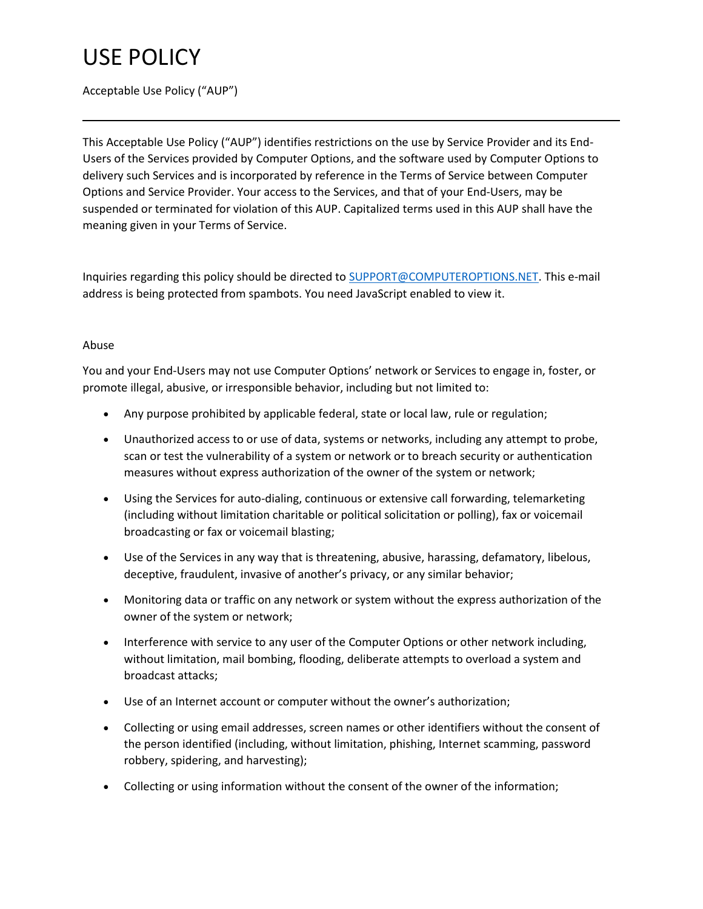### Acceptable Use Policy ("AUP")

This Acceptable Use Policy ("AUP") identifies restrictions on the use by Service Provider and its End-Users of the Services provided by Computer Options, and the software used by Computer Options to delivery such Services and is incorporated by reference in the Terms of Service between Computer Options and Service Provider. Your access to the Services, and that of your End-Users, may be suspended or terminated for violation of this AUP. Capitalized terms used in this AUP shall have the meaning given in your Terms of Service.

Inquiries regarding this policy should be directed to [SUPPORT@COMPUTEROPTIONS.NET.](mailto:SUPPORT@COMPUTEROPTIONS.NET) This e-mail address is being protected from spambots. You need JavaScript enabled to view it.

#### Abuse

You and your End-Users may not use Computer Options' network or Services to engage in, foster, or promote illegal, abusive, or irresponsible behavior, including but not limited to:

- Any purpose prohibited by applicable federal, state or local law, rule or regulation;
- Unauthorized access to or use of data, systems or networks, including any attempt to probe, scan or test the vulnerability of a system or network or to breach security or authentication measures without express authorization of the owner of the system or network;
- Using the Services for auto-dialing, continuous or extensive call forwarding, telemarketing (including without limitation charitable or political solicitation or polling), fax or voicemail broadcasting or fax or voicemail blasting;
- Use of the Services in any way that is threatening, abusive, harassing, defamatory, libelous, deceptive, fraudulent, invasive of another's privacy, or any similar behavior;
- Monitoring data or traffic on any network or system without the express authorization of the owner of the system or network;
- Interference with service to any user of the Computer Options or other network including, without limitation, mail bombing, flooding, deliberate attempts to overload a system and broadcast attacks;
- Use of an Internet account or computer without the owner's authorization;
- Collecting or using email addresses, screen names or other identifiers without the consent of the person identified (including, without limitation, phishing, Internet scamming, password robbery, spidering, and harvesting);
- Collecting or using information without the consent of the owner of the information;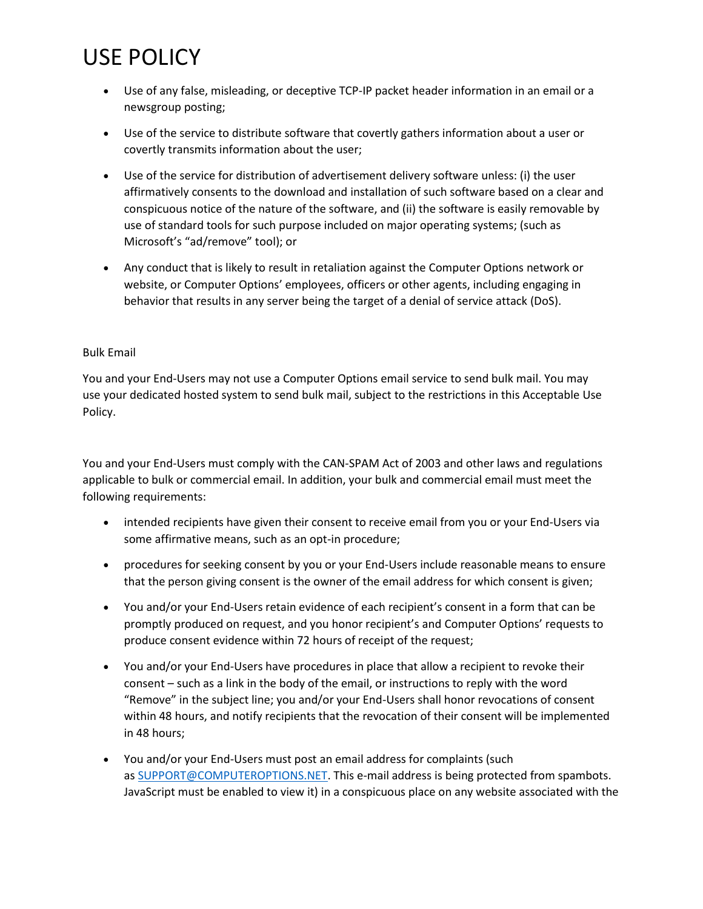- Use of any false, misleading, or deceptive TCP-IP packet header information in an email or a newsgroup posting;
- Use of the service to distribute software that covertly gathers information about a user or covertly transmits information about the user;
- Use of the service for distribution of advertisement delivery software unless: (i) the user affirmatively consents to the download and installation of such software based on a clear and conspicuous notice of the nature of the software, and (ii) the software is easily removable by use of standard tools for such purpose included on major operating systems; (such as Microsoft's "ad/remove" tool); or
- Any conduct that is likely to result in retaliation against the Computer Options network or website, or Computer Options' employees, officers or other agents, including engaging in behavior that results in any server being the target of a denial of service attack (DoS).

#### Bulk Email

You and your End-Users may not use a Computer Options email service to send bulk mail. You may use your dedicated hosted system to send bulk mail, subject to the restrictions in this Acceptable Use Policy.

You and your End-Users must comply with the CAN-SPAM Act of 2003 and other laws and regulations applicable to bulk or commercial email. In addition, your bulk and commercial email must meet the following requirements:

- intended recipients have given their consent to receive email from you or your End-Users via some affirmative means, such as an opt-in procedure;
- procedures for seeking consent by you or your End-Users include reasonable means to ensure that the person giving consent is the owner of the email address for which consent is given;
- You and/or your End-Users retain evidence of each recipient's consent in a form that can be promptly produced on request, and you honor recipient's and Computer Options' requests to produce consent evidence within 72 hours of receipt of the request;
- You and/or your End-Users have procedures in place that allow a recipient to revoke their consent – such as a link in the body of the email, or instructions to reply with the word "Remove" in the subject line; you and/or your End-Users shall honor revocations of consent within 48 hours, and notify recipients that the revocation of their consent will be implemented in 48 hours;
- You and/or your End-Users must post an email address for complaints (such as [SUPPORT@COMPUTEROPTIONS.NET.](mailto:SUPPORT@COMPUTEROPTIONS.NET) This e-mail address is being protected from spambots. JavaScript must be enabled to view it) in a conspicuous place on any website associated with the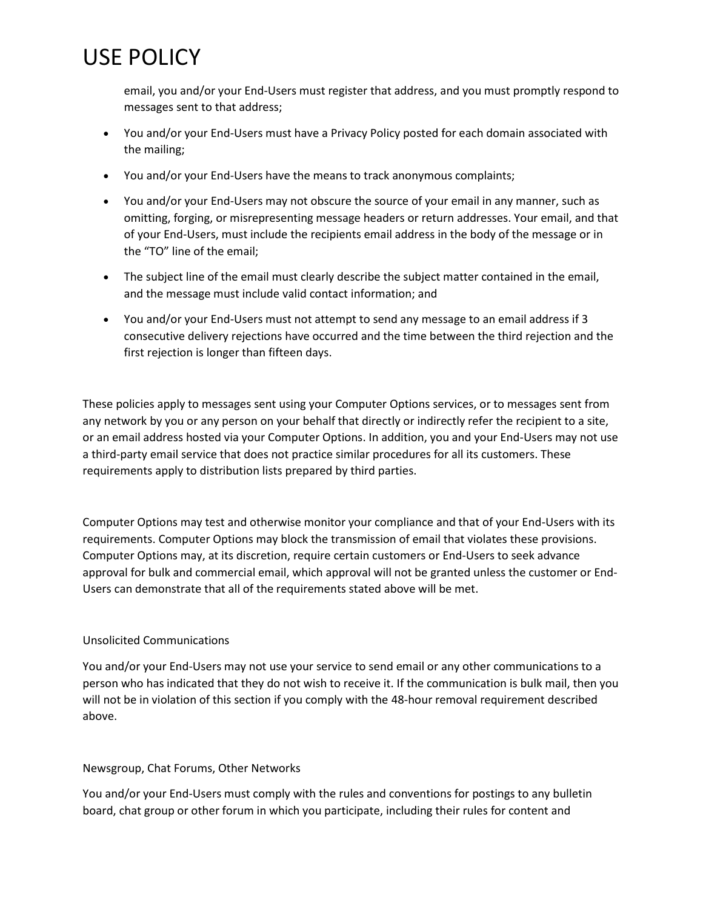email, you and/or your End-Users must register that address, and you must promptly respond to messages sent to that address;

- You and/or your End-Users must have a Privacy Policy posted for each domain associated with the mailing;
- You and/or your End-Users have the means to track anonymous complaints;
- You and/or your End-Users may not obscure the source of your email in any manner, such as omitting, forging, or misrepresenting message headers or return addresses. Your email, and that of your End-Users, must include the recipients email address in the body of the message or in the "TO" line of the email;
- The subject line of the email must clearly describe the subject matter contained in the email, and the message must include valid contact information; and
- You and/or your End-Users must not attempt to send any message to an email address if 3 consecutive delivery rejections have occurred and the time between the third rejection and the first rejection is longer than fifteen days.

These policies apply to messages sent using your Computer Options services, or to messages sent from any network by you or any person on your behalf that directly or indirectly refer the recipient to a site, or an email address hosted via your Computer Options. In addition, you and your End-Users may not use a third-party email service that does not practice similar procedures for all its customers. These requirements apply to distribution lists prepared by third parties.

Computer Options may test and otherwise monitor your compliance and that of your End-Users with its requirements. Computer Options may block the transmission of email that violates these provisions. Computer Options may, at its discretion, require certain customers or End-Users to seek advance approval for bulk and commercial email, which approval will not be granted unless the customer or End-Users can demonstrate that all of the requirements stated above will be met.

### Unsolicited Communications

You and/or your End-Users may not use your service to send email or any other communications to a person who has indicated that they do not wish to receive it. If the communication is bulk mail, then you will not be in violation of this section if you comply with the 48-hour removal requirement described above.

### Newsgroup, Chat Forums, Other Networks

You and/or your End-Users must comply with the rules and conventions for postings to any bulletin board, chat group or other forum in which you participate, including their rules for content and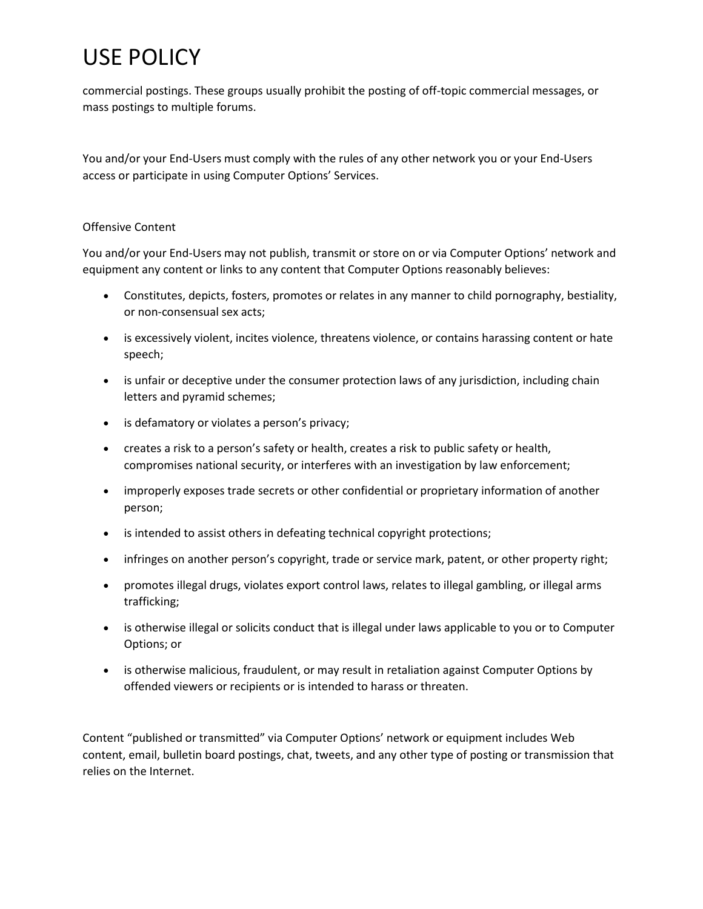commercial postings. These groups usually prohibit the posting of off-topic commercial messages, or mass postings to multiple forums.

You and/or your End-Users must comply with the rules of any other network you or your End-Users access or participate in using Computer Options' Services.

#### Offensive Content

You and/or your End-Users may not publish, transmit or store on or via Computer Options' network and equipment any content or links to any content that Computer Options reasonably believes:

- Constitutes, depicts, fosters, promotes or relates in any manner to child pornography, bestiality, or non-consensual sex acts;
- is excessively violent, incites violence, threatens violence, or contains harassing content or hate speech;
- is unfair or deceptive under the consumer protection laws of any jurisdiction, including chain letters and pyramid schemes;
- is defamatory or violates a person's privacy;
- creates a risk to a person's safety or health, creates a risk to public safety or health, compromises national security, or interferes with an investigation by law enforcement;
- improperly exposes trade secrets or other confidential or proprietary information of another person;
- is intended to assist others in defeating technical copyright protections;
- infringes on another person's copyright, trade or service mark, patent, or other property right;
- promotes illegal drugs, violates export control laws, relates to illegal gambling, or illegal arms trafficking;
- is otherwise illegal or solicits conduct that is illegal under laws applicable to you or to Computer Options; or
- is otherwise malicious, fraudulent, or may result in retaliation against Computer Options by offended viewers or recipients or is intended to harass or threaten.

Content "published or transmitted" via Computer Options' network or equipment includes Web content, email, bulletin board postings, chat, tweets, and any other type of posting or transmission that relies on the Internet.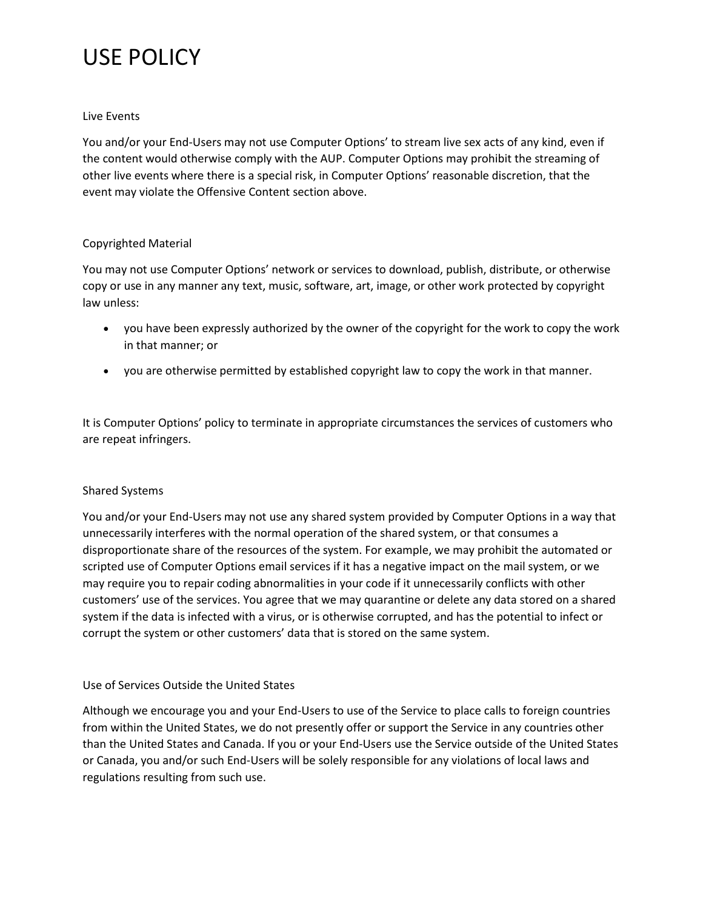#### Live Events

You and/or your End-Users may not use Computer Options' to stream live sex acts of any kind, even if the content would otherwise comply with the AUP. Computer Options may prohibit the streaming of other live events where there is a special risk, in Computer Options' reasonable discretion, that the event may violate the Offensive Content section above.

#### Copyrighted Material

You may not use Computer Options' network or services to download, publish, distribute, or otherwise copy or use in any manner any text, music, software, art, image, or other work protected by copyright law unless:

- you have been expressly authorized by the owner of the copyright for the work to copy the work in that manner; or
- you are otherwise permitted by established copyright law to copy the work in that manner.

It is Computer Options' policy to terminate in appropriate circumstances the services of customers who are repeat infringers.

#### Shared Systems

You and/or your End-Users may not use any shared system provided by Computer Options in a way that unnecessarily interferes with the normal operation of the shared system, or that consumes a disproportionate share of the resources of the system. For example, we may prohibit the automated or scripted use of Computer Options email services if it has a negative impact on the mail system, or we may require you to repair coding abnormalities in your code if it unnecessarily conflicts with other customers' use of the services. You agree that we may quarantine or delete any data stored on a shared system if the data is infected with a virus, or is otherwise corrupted, and has the potential to infect or corrupt the system or other customers' data that is stored on the same system.

#### Use of Services Outside the United States

Although we encourage you and your End-Users to use of the Service to place calls to foreign countries from within the United States, we do not presently offer or support the Service in any countries other than the United States and Canada. If you or your End-Users use the Service outside of the United States or Canada, you and/or such End-Users will be solely responsible for any violations of local laws and regulations resulting from such use.